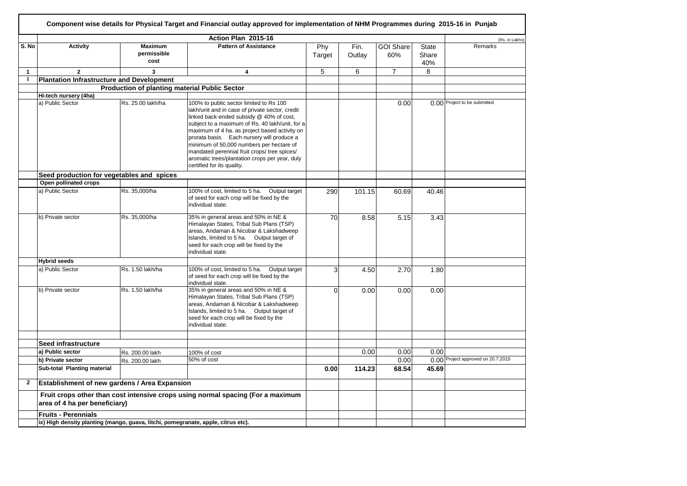|                |                                                  |                                                                                                                  | Action Plan 2015-16                                                                                                                                                                                                                                                                                                                                                                                                                                                  |               |                |                         |                       | (Rs. in Lakhs)                     |
|----------------|--------------------------------------------------|------------------------------------------------------------------------------------------------------------------|----------------------------------------------------------------------------------------------------------------------------------------------------------------------------------------------------------------------------------------------------------------------------------------------------------------------------------------------------------------------------------------------------------------------------------------------------------------------|---------------|----------------|-------------------------|-----------------------|------------------------------------|
| S. No          | <b>Activity</b>                                  | <b>Maximum</b><br>permissible<br>cost                                                                            | <b>Pattern of Assistance</b>                                                                                                                                                                                                                                                                                                                                                                                                                                         | Phy<br>Target | Fin.<br>Outlay | <b>GOI Share</b><br>60% | State<br>Share<br>40% | Remarks                            |
| $\overline{1}$ | $\overline{2}$                                   | 3                                                                                                                | $\overline{\mathbf{4}}$                                                                                                                                                                                                                                                                                                                                                                                                                                              | 5             | 6              | $\overline{7}$          | 8                     |                                    |
| $\mathbf{I}$   | <b>Plantation Infrastructure and Development</b> |                                                                                                                  |                                                                                                                                                                                                                                                                                                                                                                                                                                                                      |               |                |                         |                       |                                    |
|                |                                                  |                                                                                                                  | <b>Production of planting material Public Sector</b>                                                                                                                                                                                                                                                                                                                                                                                                                 |               |                |                         |                       |                                    |
|                | Hi-tech nursery (4ha)                            |                                                                                                                  |                                                                                                                                                                                                                                                                                                                                                                                                                                                                      |               |                |                         |                       |                                    |
|                | a) Public Sector                                 | Rs. 25.00 lakh/ha                                                                                                | 100% to public sector limited to Rs 100<br>lakh/unit and in case of private sector, credit<br>linked back-ended subsidy @ 40% of cost,<br>subject to a maximum of Rs. 40 lakh/unit, for a<br>maximum of 4 ha. as project based activity on<br>prorata basis. Each nursery will produce a<br>minimum of 50,000 numbers per hectare of<br>mandated perennial fruit crops/ tree spices/<br>aromatic trees/plantation crops per year, duly<br>certified for its quality. |               |                | 0.00                    |                       | 0.00 Project to be submitted       |
|                | Seed production for vegetables and spices        |                                                                                                                  |                                                                                                                                                                                                                                                                                                                                                                                                                                                                      |               |                |                         |                       |                                    |
|                | Open pollinated crops                            |                                                                                                                  |                                                                                                                                                                                                                                                                                                                                                                                                                                                                      |               |                |                         |                       |                                    |
|                | a) Public Sector                                 | Rs. 35,000/ha                                                                                                    | 100% of cost, limited to 5 ha. Output target<br>of seed for each crop will be fixed by the<br>individual state.                                                                                                                                                                                                                                                                                                                                                      | 290           | 101.15         | 60.69                   | 40.46                 |                                    |
|                | b) Private sector                                | Rs. 35,000/ha                                                                                                    | 35% in general areas and 50% in NE &<br>Himalayan States, Tribal Sub Plans (TSP)<br>areas, Andaman & Nicobar & Lakshadweep<br>Islands, limited to 5 ha. Output target of<br>seed for each crop will be fixed by the<br>individual state.                                                                                                                                                                                                                             | 70            | 8.58           | 5.15                    | 3.43                  |                                    |
|                | <b>Hybrid seeds</b>                              |                                                                                                                  |                                                                                                                                                                                                                                                                                                                                                                                                                                                                      |               |                |                         |                       |                                    |
|                | a) Public Sector                                 | Rs. 1.50 lakh/ha                                                                                                 | 100% of cost, limited to 5 ha. Output target<br>of seed for each crop will be fixed by the<br>individual state.                                                                                                                                                                                                                                                                                                                                                      | 31            | 4.50           | 2.70                    | 1.80                  |                                    |
|                | b) Private sector                                | Rs. 1.50 lakh/ha                                                                                                 | 35% in general areas and 50% in NE &<br>Himalayan States, Tribal Sub Plans (TSP)<br>areas, Andaman & Nicobar & Lakshadweep<br>Islands, limited to 5 ha. Output target of<br>seed for each crop will be fixed by the<br>individual state.                                                                                                                                                                                                                             | $\Omega$      | 0.00           | 0.00                    | 0.00                  |                                    |
|                |                                                  |                                                                                                                  |                                                                                                                                                                                                                                                                                                                                                                                                                                                                      |               |                |                         |                       |                                    |
|                | Seed infrastructure<br>a) Public sector          |                                                                                                                  |                                                                                                                                                                                                                                                                                                                                                                                                                                                                      |               |                |                         |                       |                                    |
|                |                                                  | Rs. 200.00 lakh                                                                                                  | 100% of cost                                                                                                                                                                                                                                                                                                                                                                                                                                                         |               | 0.00           | 0.00                    | 0.00                  | 0.00 Project approved on 20.7.2015 |
|                | b) Private sector                                | Rs. 200.00 lakh                                                                                                  | 50% of cost                                                                                                                                                                                                                                                                                                                                                                                                                                                          |               |                | 0.00                    |                       |                                    |
|                | Sub-total Planting material                      |                                                                                                                  |                                                                                                                                                                                                                                                                                                                                                                                                                                                                      | 0.00          | 114.23         | 68.54                   | 45.69                 |                                    |
| $\mathbf{2}$   | Establishment of new gardens / Area Expansion    |                                                                                                                  |                                                                                                                                                                                                                                                                                                                                                                                                                                                                      |               |                |                         |                       |                                    |
|                |                                                  | Fruit crops other than cost intensive crops using normal spacing (For a maximum<br>area of 4 ha per beneficiary) |                                                                                                                                                                                                                                                                                                                                                                                                                                                                      |               |                |                         |                       |                                    |
|                | <b>Fruits - Perennials</b>                       |                                                                                                                  |                                                                                                                                                                                                                                                                                                                                                                                                                                                                      |               |                |                         |                       |                                    |
|                |                                                  |                                                                                                                  | ix) High density planting (mango, guava, litchi, pomegranate, apple, citrus etc).                                                                                                                                                                                                                                                                                                                                                                                    |               |                |                         |                       |                                    |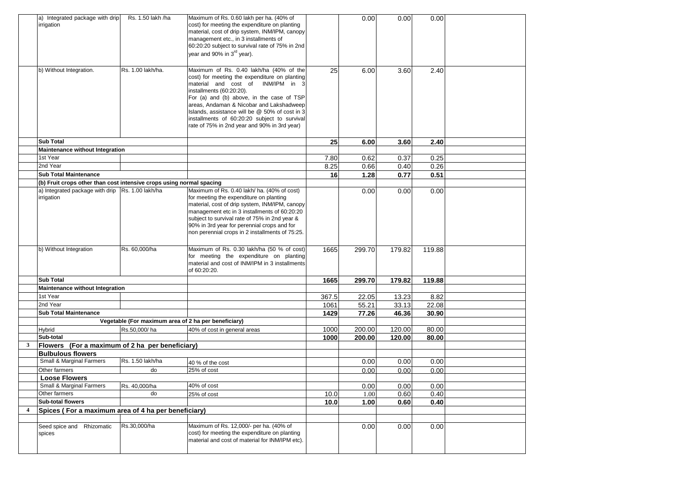|                | a) Integrated package with drip<br>irrigation                        | Rs. 1.50 lakh /ha                                    | Maximum of Rs. 0.60 lakh per ha. (40% of<br>cost) for meeting the expenditure on planting<br>material, cost of drip system, INM/IPM, canopy<br>management etc., in 3 installments of<br>60:20:20 subject to survival rate of 75% in 2nd<br>year and 90% in 3 <sup>rd</sup> year).                                                                                                                  |       | 0.00   | 0.00   | 0.00   |  |
|----------------|----------------------------------------------------------------------|------------------------------------------------------|----------------------------------------------------------------------------------------------------------------------------------------------------------------------------------------------------------------------------------------------------------------------------------------------------------------------------------------------------------------------------------------------------|-------|--------|--------|--------|--|
|                | b) Without Integration.                                              | Rs. 1.00 lakh/ha.                                    | Maximum of Rs. 0.40 lakh/ha (40% of the<br>cost) for meeting the expenditure on planting<br>material and cost of INM/IPM in<br>installments (60:20:20).<br>For (a) and (b) above, in the case of TSP<br>areas, Andaman & Nicobar and Lakshadweep<br>Islands, assistance will be @ 50% of cost in 3<br>installments of 60:20:20 subject to survival<br>rate of 75% in 2nd year and 90% in 3rd year) | 25    | 6.00   | 3.60   | 2.40   |  |
|                | <b>Sub Total</b>                                                     |                                                      |                                                                                                                                                                                                                                                                                                                                                                                                    | 25    | 6.00   | 3.60   | 2.40   |  |
|                | Maintenance without Integration                                      |                                                      |                                                                                                                                                                                                                                                                                                                                                                                                    |       |        |        |        |  |
|                | 1st Year                                                             |                                                      |                                                                                                                                                                                                                                                                                                                                                                                                    | 7.80  | 0.62   | 0.37   | 0.25   |  |
|                | 2nd Year                                                             |                                                      |                                                                                                                                                                                                                                                                                                                                                                                                    | 8.25  | 0.66   | 0.40   | 0.26   |  |
|                | <b>Sub Total Maintenance</b>                                         |                                                      |                                                                                                                                                                                                                                                                                                                                                                                                    | 16    | 1.28   | 0.77   | 0.51   |  |
|                | (b) Fruit crops other than cost intensive crops using normal spacing |                                                      |                                                                                                                                                                                                                                                                                                                                                                                                    |       |        |        |        |  |
|                | a) Integrated package with drip Rs. 1.00 lakh/ha<br>irrigation       |                                                      | Maximum of Rs. 0.40 lakh/ ha. (40% of cost)<br>for meeting the expenditure on planting<br>material, cost of drip system, INM/IPM, canopy<br>management etc in 3 installments of 60:20:20<br>subject to survival rate of 75% in 2nd year &<br>90% in 3rd year for perennial crops and for<br>non perennial crops in 2 installments of 75:25.                                                        |       | 0.00   | 0.00   | 0.00   |  |
|                | b) Without Integration                                               | Rs. 60,000/ha                                        | Maximum of Rs. 0.30 lakh/ha (50 % of cost)<br>for meeting the expenditure on planting<br>material and cost of INM/IPM in 3 installments<br>of 60:20:20.                                                                                                                                                                                                                                            | 1665  | 299.70 | 179.82 | 119.88 |  |
|                | <b>Sub Total</b>                                                     |                                                      |                                                                                                                                                                                                                                                                                                                                                                                                    | 1665  | 299.70 | 179.82 | 119.88 |  |
|                | Maintenance without Integration                                      |                                                      |                                                                                                                                                                                                                                                                                                                                                                                                    |       |        |        |        |  |
|                | 1st Year                                                             |                                                      |                                                                                                                                                                                                                                                                                                                                                                                                    | 367.5 | 22.05  | 13.23  | 8.82   |  |
|                | 2nd Year                                                             |                                                      |                                                                                                                                                                                                                                                                                                                                                                                                    | 1061  | 55.21  | 33.13  | 22.08  |  |
|                | <b>Sub Total Maintenance</b>                                         |                                                      |                                                                                                                                                                                                                                                                                                                                                                                                    | 1429  | 77.26  | 46.36  | 30.90  |  |
|                |                                                                      | Vegetable (For maximum area of 2 ha per beneficiary) |                                                                                                                                                                                                                                                                                                                                                                                                    |       |        |        |        |  |
|                | Hybrid                                                               | Rs.50,000/ha                                         | 40% of cost in general areas                                                                                                                                                                                                                                                                                                                                                                       | 1000  | 200.00 | 120.00 | 80.00  |  |
|                | Sub-total                                                            |                                                      |                                                                                                                                                                                                                                                                                                                                                                                                    | 1000  | 200.00 | 120.00 | 80.00  |  |
| 3              | Flowers (For a maximum of 2 ha per beneficiary)                      |                                                      |                                                                                                                                                                                                                                                                                                                                                                                                    |       |        |        |        |  |
|                | <b>Bulbulous flowers</b>                                             |                                                      |                                                                                                                                                                                                                                                                                                                                                                                                    |       |        |        |        |  |
|                | Small & Marginal Farmers                                             | Rs. 1.50 lakh/ha                                     | 40 % of the cost                                                                                                                                                                                                                                                                                                                                                                                   |       | 0.00   | 0.00   | 0.00   |  |
|                | Other farmers                                                        | do                                                   | 25% of cost                                                                                                                                                                                                                                                                                                                                                                                        |       | 0.00   | 0.00   | 0.00   |  |
|                | <b>Loose Flowers</b>                                                 |                                                      |                                                                                                                                                                                                                                                                                                                                                                                                    |       |        |        |        |  |
|                | Small & Marginal Farmers                                             | Rs. 40,000/ha                                        | 40% of cost                                                                                                                                                                                                                                                                                                                                                                                        |       | 0.00   | 0.00   | 0.00   |  |
|                | Other farmers                                                        | do                                                   | 25% of cost                                                                                                                                                                                                                                                                                                                                                                                        | 10.0  | 1.00   | 0.60   | 0.40   |  |
|                | Sub-total flowers                                                    |                                                      |                                                                                                                                                                                                                                                                                                                                                                                                    | 10.0  | 1.00   | 0.60   | 0.40   |  |
| $\overline{4}$ | Spices (For a maximum area of 4 ha per beneficiary)                  |                                                      |                                                                                                                                                                                                                                                                                                                                                                                                    |       |        |        |        |  |
|                |                                                                      |                                                      |                                                                                                                                                                                                                                                                                                                                                                                                    |       |        |        |        |  |
|                | Seed spice and Rhizomatic<br>spices                                  | Rs.30,000/ha                                         | Maximum of Rs. 12,000/- per ha. (40% of<br>cost) for meeting the expenditure on planting<br>material and cost of material for INM/IPM etc).                                                                                                                                                                                                                                                        |       | 0.00   | 0.00   | 0.00   |  |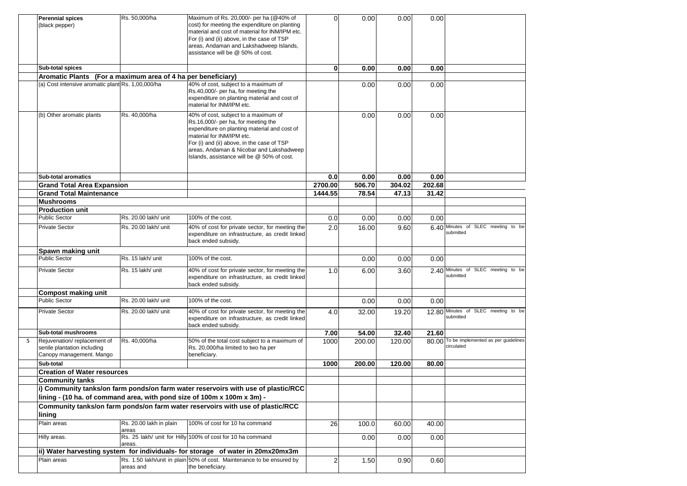|   | <b>Perennial spices</b><br>(black pepper)                                              | Rs. 50,000/ha                    | Maximum of Rs. 20,000/- per ha (@40% of<br>cost) for meeting the expenditure on planting<br>material and cost of material for INM/IPM etc.<br>For (i) and (ii) above, in the case of TSP<br>areas, Andaman and Lakshadweep Islands,<br>assistance will be @ 50% of cost.                         | $\Omega$ | 0.00   | 0.00   | 0.00   |                                                         |
|---|----------------------------------------------------------------------------------------|----------------------------------|--------------------------------------------------------------------------------------------------------------------------------------------------------------------------------------------------------------------------------------------------------------------------------------------------|----------|--------|--------|--------|---------------------------------------------------------|
|   | <b>Sub-total spices</b>                                                                |                                  |                                                                                                                                                                                                                                                                                                  | $\bf{0}$ | 0.00   | 0.00   | 0.00   |                                                         |
|   | Aromatic Plants (For a maximum area of 4 ha per beneficiary)                           |                                  |                                                                                                                                                                                                                                                                                                  |          |        |        |        |                                                         |
|   | (a) Cost intensive aromatic plant Rs. 1,00,000/ha                                      |                                  | 40% of cost, subject to a maximum of<br>Rs.40,000/- per ha, for meeting the<br>expenditure on planting material and cost of<br>material for INM/IPM etc.                                                                                                                                         |          | 0.00   | 0.00   | 0.00   |                                                         |
|   | (b) Other aromatic plants                                                              | Rs. 40,000/ha                    | 40% of cost, subject to a maximum of<br>Rs.16,000/- per ha, for meeting the<br>expenditure on planting material and cost of<br>material for INM/IPM etc.<br>For (i) and (ii) above, in the case of TSP<br>areas, Andaman & Nicobar and Lakshadweep<br>Islands, assistance will be @ 50% of cost. |          | 0.00   | 0.00   | 0.00   |                                                         |
|   | <b>Sub-total aromatics</b>                                                             |                                  |                                                                                                                                                                                                                                                                                                  | 0.0      | 0.00   | 0.00   | 0.00   |                                                         |
|   | <b>Grand Total Area Expansion</b>                                                      |                                  |                                                                                                                                                                                                                                                                                                  | 2700.00  | 506.70 | 304.02 | 202.68 |                                                         |
|   | <b>Grand Total Maintenance</b>                                                         |                                  |                                                                                                                                                                                                                                                                                                  | 1444.55  | 78.54  | 47.13  | 31.42  |                                                         |
|   | <b>Mushrooms</b>                                                                       |                                  |                                                                                                                                                                                                                                                                                                  |          |        |        |        |                                                         |
|   | <b>Production unit</b>                                                                 |                                  |                                                                                                                                                                                                                                                                                                  |          |        |        |        |                                                         |
|   | <b>Public Sector</b>                                                                   | Rs. 20.00 lakh/ unit             | 100% of the cost.                                                                                                                                                                                                                                                                                | 0.0      | 0.00   | 0.00   | 0.00   |                                                         |
|   | <b>Private Sector</b>                                                                  | Rs. 20.00 lakh/ unit             | 40% of cost for private sector, for meeting the<br>expenditure on infrastructure, as credit linked<br>back ended subsidy.                                                                                                                                                                        | 2.0      | 16.00  | 9.60   |        | 6.40 Minutes of SLEC meeting to be<br>submitted         |
|   | Spawn making unit                                                                      |                                  |                                                                                                                                                                                                                                                                                                  |          |        |        |        |                                                         |
|   | <b>Public Sector</b>                                                                   | Rs. 15 lakh/ unit                | 100% of the cost.                                                                                                                                                                                                                                                                                |          | 0.00   | 0.00   | 0.00   |                                                         |
|   | <b>Private Sector</b>                                                                  | Rs. 15 lakh/ unit                | 40% of cost for private sector, for meeting the<br>expenditure on infrastructure, as credit linked<br>back ended subsidy.                                                                                                                                                                        | 1.0      | 6.00   | 3.60   |        | 2.40 Minutes of SLEC meeting to be<br>submitted         |
|   | <b>Compost making unit</b>                                                             |                                  |                                                                                                                                                                                                                                                                                                  |          |        |        |        |                                                         |
|   | <b>Public Sector</b>                                                                   | Rs. 20.00 lakh/ unit             | 100% of the cost.                                                                                                                                                                                                                                                                                |          | 0.00   | 0.00   | 0.00   |                                                         |
|   | <b>Private Sector</b>                                                                  | Rs. 20.00 lakh/ unit             | 40% of cost for private sector, for meeting the<br>expenditure on infrastructure, as credit linked<br>back ended subsidy.                                                                                                                                                                        | 4.0      | 32.00  | 19.20  |        | 12.80 Minutes of SLEC meeting to be<br>submitted        |
|   | Sub-total mushrooms                                                                    |                                  |                                                                                                                                                                                                                                                                                                  | 7.00     | 54.00  | 32.40  | 21.60  |                                                         |
| 5 | Rejuvenation/replacement of<br>senile plantation including<br>Canopy management. Mango | Rs. 40,000/ha                    | 50% of the total cost subject to a maximum of<br>Rs. 20,000/ha limited to two ha per<br>beneficiary.                                                                                                                                                                                             | 1000     | 200.00 | 120.00 |        | 80.00 To be implemented as per guidelines<br>circulated |
|   | Sub-total                                                                              |                                  |                                                                                                                                                                                                                                                                                                  | 1000     | 200.00 | 120.00 | 80.00  |                                                         |
|   | <b>Creation of Water resources</b>                                                     |                                  |                                                                                                                                                                                                                                                                                                  |          |        |        |        |                                                         |
|   | <b>Community tanks</b>                                                                 |                                  |                                                                                                                                                                                                                                                                                                  |          |        |        |        |                                                         |
|   |                                                                                        |                                  | i) Community tanks/on farm ponds/on farm water reservoirs with use of plastic/RCC                                                                                                                                                                                                                |          |        |        |        |                                                         |
|   | lining - (10 ha. of command area, with pond size of 100m x 100m x 3m) -                |                                  |                                                                                                                                                                                                                                                                                                  |          |        |        |        |                                                         |
|   | lining                                                                                 |                                  | Community tanks/on farm ponds/on farm water reservoirs with use of plastic/RCC                                                                                                                                                                                                                   |          |        |        |        |                                                         |
|   | Plain areas                                                                            | Rs. 20.00 lakh in plain<br>areas | 100% of cost for 10 ha command                                                                                                                                                                                                                                                                   | 26       | 100.0  | 60.00  | 40.00  |                                                         |
|   | Hilly areas.                                                                           | areas.                           | Rs. 25 lakh/ unit for Hilly 100% of cost for 10 ha command                                                                                                                                                                                                                                       |          | 0.00   | 0.00   | 0.00   |                                                         |
|   |                                                                                        |                                  | ii) Water harvesting system for individuals- for storage of water in 20mx20mx3m                                                                                                                                                                                                                  |          |        |        |        |                                                         |
|   | Plain areas                                                                            | areas and                        | Rs. 1.50 lakh/unit in plain 50% of cost. Maintenance to be ensured by<br>the beneficiary.                                                                                                                                                                                                        | 2        | 1.50   | 0.90   | 0.60   |                                                         |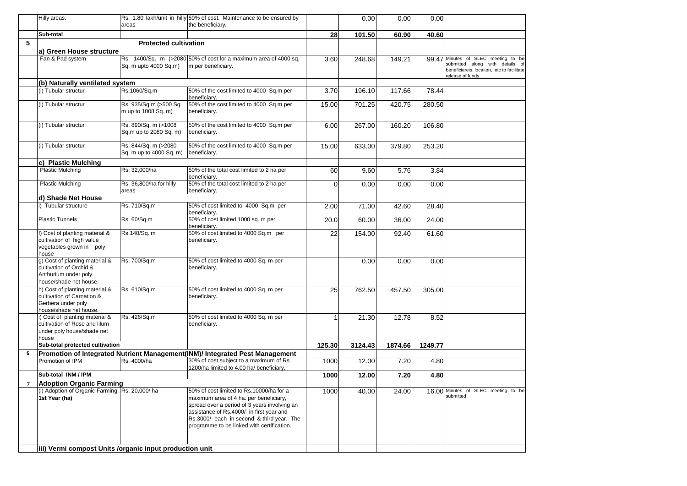|                | Hilly areas.                                                                                                 |                                                 | Rs. 1.80 lakh/unit in hilly 50% of cost. Maintenance to be ensured by                                                                                                                                                                                                       |             | 0.00    | 0.00    | 0.00    |                                                                                                                                           |
|----------------|--------------------------------------------------------------------------------------------------------------|-------------------------------------------------|-----------------------------------------------------------------------------------------------------------------------------------------------------------------------------------------------------------------------------------------------------------------------------|-------------|---------|---------|---------|-------------------------------------------------------------------------------------------------------------------------------------------|
|                |                                                                                                              | areas                                           | the beneficiary.                                                                                                                                                                                                                                                            |             |         |         |         |                                                                                                                                           |
|                | Sub-total                                                                                                    |                                                 |                                                                                                                                                                                                                                                                             | 28          | 101.50  | 60.90   | 40.60   |                                                                                                                                           |
| 5              |                                                                                                              | <b>Protected cultivation</b>                    |                                                                                                                                                                                                                                                                             |             |         |         |         |                                                                                                                                           |
|                | a) Green House structure                                                                                     |                                                 |                                                                                                                                                                                                                                                                             |             |         |         |         |                                                                                                                                           |
|                | Fan & Pad system                                                                                             | Sq. m upto 4000 Sq.m)                           | Rs. 1400/Sq. m (>2080 50% of cost for a maximum area of 4000 sq.<br>m per beneficiary.                                                                                                                                                                                      | 3.60        | 248.68  | 149.21  |         | 99.47 Minutes of SLEC meeting to be<br>submitted along with details of<br>beneficiareis, locaiton, etc to facilitate<br>release of funds. |
|                | (b) Naturally ventilated system                                                                              |                                                 |                                                                                                                                                                                                                                                                             |             |         |         |         |                                                                                                                                           |
|                | (i) Tubular structur                                                                                         | Rs.1060/Sq.m                                    | 50% of the cost limited to 4000 Sq.m per<br>beneficiary.                                                                                                                                                                                                                    | 3.70        | 196.10  | 117.66  | 78.44   |                                                                                                                                           |
|                | (i) Tubular structur                                                                                         | Rs. 935/Sq.m (>500 Sq.<br>m up to 1008 Sq. m)   | 50% of the cost limited to 4000 Sq.m per<br>beneficiary.                                                                                                                                                                                                                    | 15.00       | 701.25  | 420.75  | 280.50  |                                                                                                                                           |
|                | (i) Tubular structur                                                                                         | Rs. 890/Sq. m (>1008)<br>Sq.m up to 2080 Sq. m) | 50% of the cost limited to 4000 Sq.m per<br>beneficiary.                                                                                                                                                                                                                    | 6.00        | 267.00  | 160.20  | 106.80  |                                                                                                                                           |
|                | (i) Tubular structur                                                                                         | Rs. 844/Sq. m (>2080<br>Sq. m up to 4000 Sq. m) | 50% of the cost limited to 4000 Sq.m per<br>beneficiary.                                                                                                                                                                                                                    | 15.00       | 633.00  | 379.80  | 253.20  |                                                                                                                                           |
|                | c) Plastic Mulching                                                                                          |                                                 |                                                                                                                                                                                                                                                                             |             |         |         |         |                                                                                                                                           |
|                | <b>Plastic Mulching</b>                                                                                      | Rs. 32,000/ha                                   | 50% of the total cost limited to 2 ha per<br>beneficiary.                                                                                                                                                                                                                   | 60          | 9.60    | 5.76    | 3.84    |                                                                                                                                           |
|                | <b>Plastic Mulching</b>                                                                                      | Rs. 36,800/ha for hilly<br>areas                | 50% of the total cost limited to 2 ha per<br>beneficiary.                                                                                                                                                                                                                   | $\mathbf 0$ | 0.00    | 0.00    | 0.00    |                                                                                                                                           |
|                | d) Shade Net House                                                                                           |                                                 |                                                                                                                                                                                                                                                                             |             |         |         |         |                                                                                                                                           |
|                | i) Tubular structure                                                                                         | Rs. 710/Sq.m                                    | 50% of cost limited to 4000 Sq.m per<br>beneficiary.                                                                                                                                                                                                                        | 2.00        | 71.00   | 42.60   | 28.40   |                                                                                                                                           |
|                | <b>Plastic Tunnels</b>                                                                                       | Rs. 60/Sq.m                                     | 50% of cost limited 1000 sq. m per<br>beneficiary.                                                                                                                                                                                                                          | 20.0        | 60.00   | 36.00   | 24.00   |                                                                                                                                           |
|                | f) Cost of planting material &<br>cultivation of high value<br>vegetables grown in poly<br>house             | Rs.140/Sq. m                                    | 50% of cost limited to 4000 Sq.m per<br>beneficiary.                                                                                                                                                                                                                        | 22          | 154.00  | 92.40   | 61.60   |                                                                                                                                           |
|                | g) Cost of planting material &<br>cultivation of Orchid &<br>Anthurium under poly<br>house/shade net house.  | Rs. 700/Sq.m                                    | 50% of cost limited to 4000 Sq. m per<br>beneficiary.                                                                                                                                                                                                                       |             | 0.00    | 0.00    | 0.00    |                                                                                                                                           |
|                | h) Cost of planting material &<br>cultivation of Carnation &<br>Gerbera under poly<br>house/shade net house. | Rs. 610/Sq.m                                    | 50% of cost limited to 4000 Sq. m per<br>beneficiary.                                                                                                                                                                                                                       | 25          | 762.50  | 457.50  | 305.00  |                                                                                                                                           |
|                | i) Cost of planting material &<br>cultivation of Rose and lilum<br>under poly house/shade net<br>house       | Rs. 426/Sq.m                                    | 50% of cost limited to 4000 Sq. m per<br>beneficiary.                                                                                                                                                                                                                       |             | 21.30   | 12.78   | 8.52    |                                                                                                                                           |
|                | Sub-total protected cultivation                                                                              |                                                 |                                                                                                                                                                                                                                                                             | 125.30      | 3124.43 | 1874.66 | 1249.77 |                                                                                                                                           |
| 6              |                                                                                                              |                                                 | Promotion of Integrated Nutrient Management(INM)/ Integrated Pest Management                                                                                                                                                                                                |             |         |         |         |                                                                                                                                           |
|                | Promotion of IPM                                                                                             | Rs. 4000/ha                                     | 30% of cost subject to a maximum of Rs<br>1200/ha limited to 4.00 ha/ beneficiary.                                                                                                                                                                                          | 1000        | 12.00   | 7.20    | 4.80    |                                                                                                                                           |
|                | Sub-total INM / IPM                                                                                          |                                                 |                                                                                                                                                                                                                                                                             | 1000        | 12.00   | 7.20    | 4.80    |                                                                                                                                           |
| $\overline{7}$ | <b>Adoption Organic Farming</b>                                                                              |                                                 |                                                                                                                                                                                                                                                                             |             |         |         |         |                                                                                                                                           |
|                | (i) Adoption of Organic Farming. Rs. 20,000/ha<br>1st Year (ha)                                              |                                                 | 50% of cost limited to Rs.10000/ha for a<br>maximum area of 4 ha. per beneficiary,<br>spread over a period of 3 years involving an<br>assistance of Rs.4000/- in first year and<br>Rs.3000/- each in second & third year. The<br>programme to be linked with certification. | 1000        | 40.00   | 24.00   |         | 16.00 Minutes of SLEC meeting to be<br>submitted                                                                                          |
|                | iii) Vermi compost Units /organic input production unit                                                      |                                                 |                                                                                                                                                                                                                                                                             |             |         |         |         |                                                                                                                                           |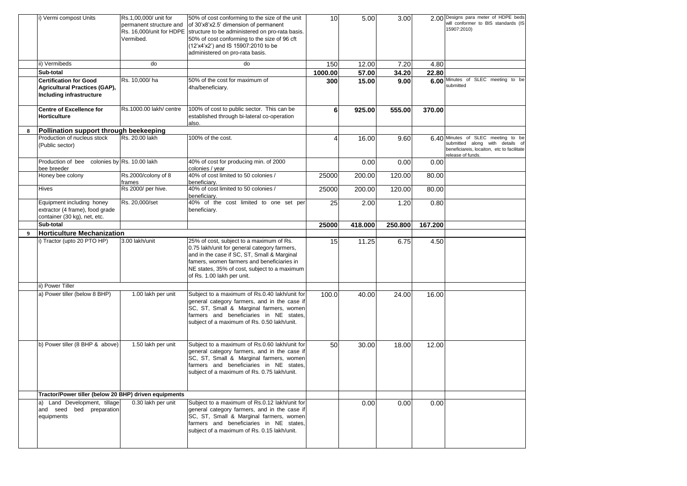|   | i) Vermi compost Units                                                                            | Rs.1,00,000/ unit for<br>permanent structure and<br>Vermibed. | 50% of cost conforming to the size of the unit<br>of 30'x8'x2.5' dimension of permanent<br>Rs. 16,000/unit for HDPE structure to be administered on pro-rata basis.<br>50% of cost conforming to the size of 96 cft<br>(12'x4'x2') and IS 15907:2010 to be<br>administered on pro-rata basis. | 10      | 5.00    | 3.00    |         | 2.00 Designs para meter of HDPE beds<br>will conformer to BIS standards (IS<br>15907:2010)                                               |
|---|---------------------------------------------------------------------------------------------------|---------------------------------------------------------------|-----------------------------------------------------------------------------------------------------------------------------------------------------------------------------------------------------------------------------------------------------------------------------------------------|---------|---------|---------|---------|------------------------------------------------------------------------------------------------------------------------------------------|
|   | ii) Vermibeds                                                                                     | do                                                            | do                                                                                                                                                                                                                                                                                            | 150     | 12.00   | 7.20    | 4.80    |                                                                                                                                          |
|   | Sub-total                                                                                         |                                                               |                                                                                                                                                                                                                                                                                               | 1000.00 | 57.00   | 34.20   | 22.80   |                                                                                                                                          |
|   | <b>Certification for Good</b><br><b>Agricultural Practices (GAP),</b><br>Including infrastructure | Rs. 10,000/ha                                                 | 50% of the cost for maximum of<br>4ha/beneficiary.                                                                                                                                                                                                                                            | 300     | 15.00   | 9.00    |         | 6.00 Minutes of SLEC meeting to be<br>submitted                                                                                          |
|   | <b>Centre of Excellence for</b><br>Horticulture                                                   | Rs.1000.00 lakh/ centre                                       | 100% of cost to public sector. This can be<br>established through bi-lateral co-operation<br>also.                                                                                                                                                                                            | 6       | 925.00  | 555.00  | 370.00  |                                                                                                                                          |
| 8 | Pollination support through beekeeping                                                            |                                                               |                                                                                                                                                                                                                                                                                               |         |         |         |         |                                                                                                                                          |
|   | Production of nucleus stock<br>(Public sector)                                                    | Rs. 20.00 lakh                                                | 100% of the cost.                                                                                                                                                                                                                                                                             | 4       | 16.00   | 9.60    |         | 6.40 Minutes of SLEC meeting to be<br>submitted along with details of<br>beneficiareis, locaiton, etc to facilitate<br>release of funds. |
|   | Production of bee colonies by Rs. 10.00 lakh<br>bee breeder                                       |                                                               | 40% of cost for producing min. of 2000<br>colonies / year                                                                                                                                                                                                                                     |         | 0.00    | 0.00    | 0.00    |                                                                                                                                          |
|   | Honey bee colony                                                                                  | Rs.2000/colony of 8<br>frames                                 | 40% of cost limited to 50 colonies /<br>beneficiary.                                                                                                                                                                                                                                          | 25000   | 200.00  | 120.00  | 80.00   |                                                                                                                                          |
|   | Hives                                                                                             | Rs 2000/ per hive.                                            | 40% of cost limited to 50 colonies /<br>beneficiary.                                                                                                                                                                                                                                          | 25000   | 200.00  | 120.00  | 80.00   |                                                                                                                                          |
|   | Equipment including honey<br>extractor (4 frame), food grade<br>container (30 kg), net, etc.      | Rs. 20,000/set                                                | 40% of the cost limited to one set per<br>beneficiary.                                                                                                                                                                                                                                        | 25      | 2.00    | 1.20    | 0.80    |                                                                                                                                          |
|   | Sub-total                                                                                         |                                                               |                                                                                                                                                                                                                                                                                               | 25000   | 418.000 | 250.800 | 167.200 |                                                                                                                                          |
| 9 | <b>Horticulture Mechanization</b>                                                                 |                                                               |                                                                                                                                                                                                                                                                                               |         |         |         |         |                                                                                                                                          |
|   | i) Tractor (upto 20 PTO HP)                                                                       | 3.00 lakh/unit                                                | 25% of cost, subject to a maximum of Rs.<br>0.75 lakh/unit for general category farmers,<br>and in the case if SC, ST, Small & Marginal<br>famers, women farmers and beneficiaries in<br>NE states, 35% of cost, subject to a maximum<br>of Rs. 1.00 lakh per unit.                           | 15      | 11.25   | 6.75    | 4.50    |                                                                                                                                          |
|   | ii) Power Tiller                                                                                  |                                                               |                                                                                                                                                                                                                                                                                               |         |         |         |         |                                                                                                                                          |
|   | a) Power tiller (below 8 BHP)                                                                     | 1.00 lakh per unit                                            | Subject to a maximum of Rs.0.40 lakh/unit for<br>general category farmers, and in the case if<br>SC, ST, Small & Marginal farmers, women<br>farmers and beneficiaries in NE states,<br>subject of a maximum of Rs. 0.50 lakh/unit.                                                            | 100.0   | 40.00   | 24.00   | 16.00   |                                                                                                                                          |
|   | b) Power tiller (8 BHP & above)                                                                   | 1.50 lakh per unit                                            | Subject to a maximum of Rs.0.60 lakh/unit for<br>general category farmers, and in the case if<br>SC, ST, Small & Marginal farmers, women<br>farmers and beneficiaries in NE states,<br>subject of a maximum of Rs. 0.75 lakh/unit.                                                            | 50      | 30.00   | 18.00   | 12.00   |                                                                                                                                          |
|   | Tractor/Power tiller (below 20 BHP) driven equipments                                             |                                                               |                                                                                                                                                                                                                                                                                               |         |         |         |         |                                                                                                                                          |
|   | a) Land Development, tillage<br>and seed bed preparation<br>equipments                            | 0.30 lakh per unit                                            | Subject to a maximum of Rs.0.12 lakh/unit for<br>general category farmers, and in the case if<br>SC, ST, Small & Marginal farmers, women<br>farmers and beneficiaries in NE states,<br>subject of a maximum of Rs. 0.15 lakh/unit.                                                            |         | 0.00    | 0.00    | 0.00    |                                                                                                                                          |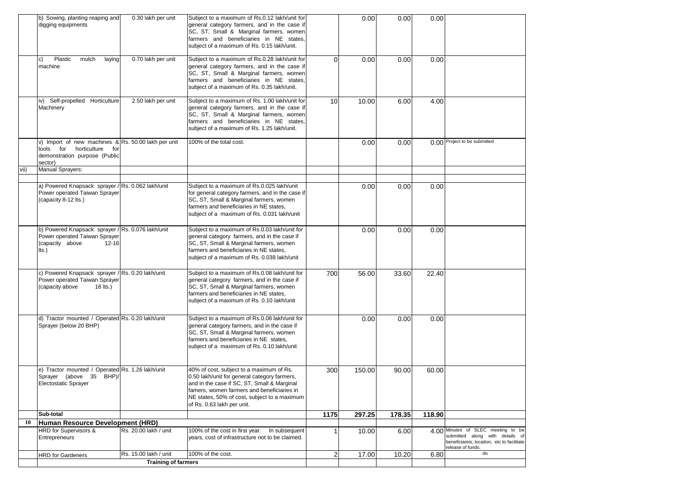|      | b) Sowing, planting reaping and<br>digging equipments                                                                               | 0.30 lakh per unit         | Subject to a maximum of Rs.0.12 lakh/unit for<br>general category farmers, and in the case if<br>SC, ST, Small & Marginal farmers, women<br>farmers and beneficiaries in NE states,<br>subject of a maximum of Rs. 0.15 lakh/unit.                                  |                 | 0.00   | 0.00   | 0.00   |                                                                                                    |
|------|-------------------------------------------------------------------------------------------------------------------------------------|----------------------------|---------------------------------------------------------------------------------------------------------------------------------------------------------------------------------------------------------------------------------------------------------------------|-----------------|--------|--------|--------|----------------------------------------------------------------------------------------------------|
|      | Plastic<br>mulch<br>laying<br>$\vert c)$<br>machine                                                                                 | 0.70 lakh per unit         | Subject to a maximum of Rs.0.28 lakh/unit for<br>general category farmers, and in the case if<br>SC, ST, Small & Marginal farmers, women<br>farmers and beneficiaries in NE states,<br>subject of a maximum of Rs. 0.35 lakh/unit.                                  | $\Omega$        | 0.00   | 0.00   | 0.00   |                                                                                                    |
|      | iv) Self-propelled Horticulture<br>Machinery                                                                                        | 2.50 lakh per unit         | Subject to a maximum of Rs. 1.00 lakh/unit for<br>general category farmers, and in the case it<br>SC, ST, Small & Marginal farmers, women<br>farmers and beneficiaries in NE states,<br>subject of a maximum of Rs. 1.25 lakh/unit.                                 | 10 <sup>1</sup> | 10.00  | 6.00   | 4.00   |                                                                                                    |
|      | v) Import of new machines & Rs. 50.00 lakh per unit<br>horticulture<br>tools for<br>for<br>demonstration purpose (Public<br>sector) |                            | 100% of the total cost.                                                                                                                                                                                                                                             |                 | 0.00   | 0.00   |        | 0.00 Project to be submitted                                                                       |
| vii) | Manual Sprayers:                                                                                                                    |                            |                                                                                                                                                                                                                                                                     |                 |        |        |        |                                                                                                    |
|      | a) Powered Knapsack sprayer / Rs. 0.062 lakh/unit<br>Power operated Taiwan Sprayer<br>(capacity 8-12 lts.)                          |                            | Subject to a maximum of Rs.0.025 lakh/unit<br>for general category farmers, and in the case if<br>SC, ST, Small & Marginal farmers, women<br>farmers and beneficiaries in NE states,<br>subject of a maximum of Rs. 0.031 lakh/unit                                 |                 | 0.00   | 0.00   | 0.00   |                                                                                                    |
|      | b) Powered Knapsack sprayer / Rs. 0.076 lakh/unit<br>Power operated Taiwan Sprayer<br>(capacity above<br>$12 - 16$<br>Its.)         |                            | Subject to a maximum of Rs.0.03 lakh/unit for<br>general category farmers, and in the case if<br>SC, ST, Small & Marginal farmers, women<br>farmers and beneficiaries in NE states.<br>subject of a maximum of Rs. 0.038 lakh/unit                                  |                 | 0.00   | 0.00   | 0.00   |                                                                                                    |
|      | c) Powered Knapsack sprayer / Rs. 0.20 lakh/unit<br>Power operated Taiwan Sprayer<br>$16$ lts.)<br>(capacity above                  |                            | Subject to a maximum of Rs.0.08 lakh/unit for<br>general category farmers, and in the case if<br>SC, ST, Small & Marginal farmers, women<br>farmers and beneficiaries in NE states,<br>subject of a maximum of Rs. 0.10 lakh/unit                                   | 700             | 56.00  | 33.60  | 22.40  |                                                                                                    |
|      | d) Tractor mounted / Operated Rs. 0.20 lakh/unit<br>Sprayer (below 20 BHP)                                                          |                            | Subject to a maximum of Rs.0.08 lakh/unit for<br>general category farmers, and in the case if<br>SC, ST, Small & Marginal farmers, women<br>farmers and beneficiaries in NE states,<br>subject of a maximum of Rs. 0.10 lakh/unit                                   |                 | 0.00   | 0.00   | 0.00   |                                                                                                    |
|      | e) Tractor mounted / Operated Rs. 1.26 lakh/unit<br>Sprayer (above 35 BHP)/<br><b>Electostatic Sprayer</b>                          |                            | 40% of cost, subject to a maximum of Rs.<br>0.50 lakh/unit for general category farmers,<br>and in the case if SC, ST, Small & Marginal<br>famers, women farmers and beneficiaries in<br>NE states, 50% of cost, subject to a maximum<br>of Rs. 0.63 lakh per unit. | 300             | 150.00 | 90.00  | 60.00  |                                                                                                    |
|      | Sub-total                                                                                                                           |                            |                                                                                                                                                                                                                                                                     | 1175            | 297.25 | 178.35 | 118.90 |                                                                                                    |
| 10   | Human Resource Development (HRD)<br>HRD for Supervisors &                                                                           | Rs. 20.00 lakh / unit      | 100% of the cost in first year.<br>In subsequent                                                                                                                                                                                                                    | 1               |        |        |        | 4.00 Minutes of SLEC meeting to be                                                                 |
|      | Entrepreneurs                                                                                                                       |                            | years, cost of infrastructure not to be claimed.                                                                                                                                                                                                                    |                 | 10.00  | 6.00   |        | submitted along with details of<br>beneficiareis, locaiton, etc to facilitate<br>release of funds. |
|      | <b>HRD</b> for Gardeners                                                                                                            | Rs. 15.00 lakh / unit      | 100% of the cost.                                                                                                                                                                                                                                                   | $\overline{2}$  | 17.00  | 10.20  | 6.80   | do                                                                                                 |
|      |                                                                                                                                     | <b>Training of farmers</b> |                                                                                                                                                                                                                                                                     |                 |        |        |        |                                                                                                    |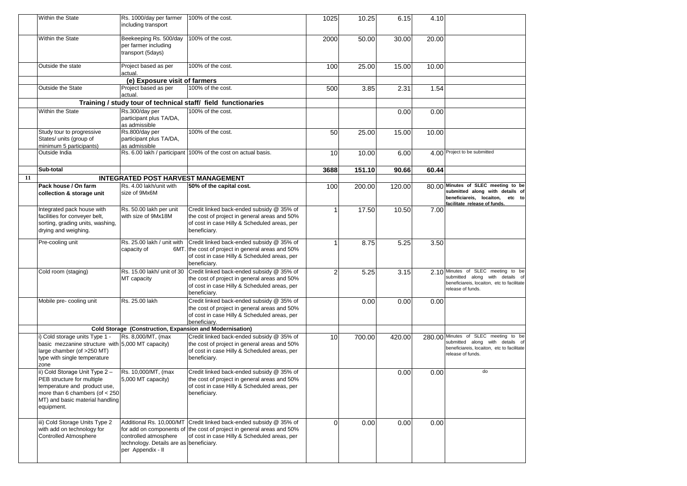|    | Within the State                                                                                                                                                                 | Rs. 1000/day per farmer<br>including transport                                                                    | 100% of the cost.                                                                                                                                                  | 1025           | 10.25  | 6.15   | 4.10  |                                                                                                                                              |
|----|----------------------------------------------------------------------------------------------------------------------------------------------------------------------------------|-------------------------------------------------------------------------------------------------------------------|--------------------------------------------------------------------------------------------------------------------------------------------------------------------|----------------|--------|--------|-------|----------------------------------------------------------------------------------------------------------------------------------------------|
|    | Within the State                                                                                                                                                                 | Beekeeping Rs. 500/day<br>per farmer including<br>transport (5days)                                               | 100% of the cost.                                                                                                                                                  | 2000           | 50.00  | 30.00  | 20.00 |                                                                                                                                              |
|    | Outside the state                                                                                                                                                                | Project based as per<br>actual.                                                                                   | 100% of the cost.                                                                                                                                                  | 100            | 25.00  | 15.00  | 10.00 |                                                                                                                                              |
|    |                                                                                                                                                                                  | (e) Exposure visit of farmers                                                                                     |                                                                                                                                                                    |                |        |        |       |                                                                                                                                              |
|    | Outside the State                                                                                                                                                                | Project based as per<br>actual.                                                                                   | 100% of the cost.                                                                                                                                                  | 500            | 3.85   | 2.31   | 1.54  |                                                                                                                                              |
|    |                                                                                                                                                                                  |                                                                                                                   | Training / study tour of technical staff/ field functionaries                                                                                                      |                |        |        |       |                                                                                                                                              |
|    | Within the State                                                                                                                                                                 | Rs.300/day per<br>participant plus TA/DA,<br>as admissible                                                        | 100% of the cost.                                                                                                                                                  |                |        | 0.00   | 0.00  |                                                                                                                                              |
|    | Study tour to progressive<br>States/ units (group of<br>minimum 5 participants)                                                                                                  | Rs.800/day per<br>participant plus TA/DA,<br>as admissible                                                        | 100% of the cost.                                                                                                                                                  | 50             | 25.00  | 15.00  | 10.00 |                                                                                                                                              |
|    | Outside India                                                                                                                                                                    |                                                                                                                   | Rs. 6.00 lakh / participant 100% of the cost on actual basis.                                                                                                      | 10             | 10.00  | 6.00   |       | 4.00 Project to be submitted                                                                                                                 |
|    | Sub-total                                                                                                                                                                        |                                                                                                                   |                                                                                                                                                                    | 3688           | 151.10 | 90.66  | 60.44 |                                                                                                                                              |
| 11 |                                                                                                                                                                                  | <b>INTEGRATED POST HARVEST MANAGEMENT</b>                                                                         |                                                                                                                                                                    |                |        |        |       |                                                                                                                                              |
|    | Pack house / On farm<br>collection & storage unit                                                                                                                                | Rs. 4.00 lakh/unit with<br>size of 9Mx6M                                                                          | 50% of the capital cost.                                                                                                                                           | 100            | 200.00 | 120.00 |       | 80.00 Minutes of SLEC meeting to be<br>submitted along with details of<br>beneficiareis, locaiton,<br>etc to<br>facilitate release of funds. |
|    | Integrated pack house with<br>facilities for conveyer belt,<br>sorting, grading units, washing,<br>drying and weighing.                                                          | Rs. 50.00 lakh per unit<br>with size of 9Mx18M                                                                    | Credit linked back-ended subsidy @ 35% of<br>the cost of project in general areas and 50%<br>of cost in case Hilly & Scheduled areas, per<br>beneficiary.          |                | 17.50  | 10.50  | 7.00  |                                                                                                                                              |
|    | Pre-cooling unit                                                                                                                                                                 | Rs. 25.00 lakh / unit with<br>capacity of                                                                         | Credit linked back-ended subsidy @ 35% of<br>6MT. the cost of project in general areas and 50%<br>of cost in case Hilly & Scheduled areas, per<br>beneficiary.     |                | 8.75   | 5.25   | 3.50  |                                                                                                                                              |
|    | Cold room (staging)                                                                                                                                                              | Rs. 15.00 lakh/ unit of 30<br>MT capacity                                                                         | Credit linked back-ended subsidy @ 35% of<br>the cost of project in general areas and 50%<br>of cost in case Hilly & Scheduled areas, per<br>beneficiary.          | $\overline{2}$ | 5.25   | 3.15   |       | 2.10 Minutes of SLEC meeting to be<br>submitted along with details of<br>beneficiareis, locaiton, etc to facilitate<br>release of funds.     |
|    | Mobile pre- cooling unit                                                                                                                                                         | Rs. 25.00 lakh                                                                                                    | Credit linked back-ended subsidy @ 35% of<br>the cost of project in general areas and 50%<br>of cost in case Hilly & Scheduled areas, per<br>beneficiary.          |                | 0.00   | 0.00   | 0.00  |                                                                                                                                              |
|    |                                                                                                                                                                                  | Cold Storage (Construction, Expansion and Modernisation)                                                          |                                                                                                                                                                    |                |        |        |       |                                                                                                                                              |
|    | i) Cold storage units Type 1 -<br>basic mezzanine structure with 5,000 MT capacity)<br>large chamber (of >250 MT)<br>type with single temperature<br>zone                        | Rs. 8,000/MT, (max                                                                                                | Credit linked back-ended subsidy @ 35% of<br>the cost of project in general areas and 50%<br>of cost in case Hilly & Scheduled areas, per<br>beneficiary.          | 10             | 700.00 | 420.00 |       | 280.00 Minutes of SLEC meeting to be<br>submitted along with details of<br>beneficiareis, locaiton, etc to facilitate<br>release of funds.   |
|    | ii) Cold Storage Unit Type 2-<br>PEB structure for multiple<br>temperature and product use,<br>more than 6 chambers (of $<$ 250<br>MT) and basic material handling<br>equipment. | Rs. 10,000/MT, (max<br>5,000 MT capacity)                                                                         | Credit linked back-ended subsidy @ 35% of<br>the cost of project in general areas and 50%<br>of cost in case Hilly & Scheduled areas, per<br>beneficiary.          |                |        | 0.00   | 0.00  | do                                                                                                                                           |
|    | iii) Cold Storage Units Type 2<br>with add on technology for<br><b>Controlled Atmosphere</b>                                                                                     | Additional Rs. 10,000/MT<br>controlled atmosphere<br>technology. Details are as beneficiary.<br>per Appendix - II | Credit linked back-ended subsidy @ 35% of<br>for add on components of the cost of project in general areas and 50%<br>of cost in case Hilly & Scheduled areas, per | $\Omega$       | 0.00   | 0.00   | 0.00  |                                                                                                                                              |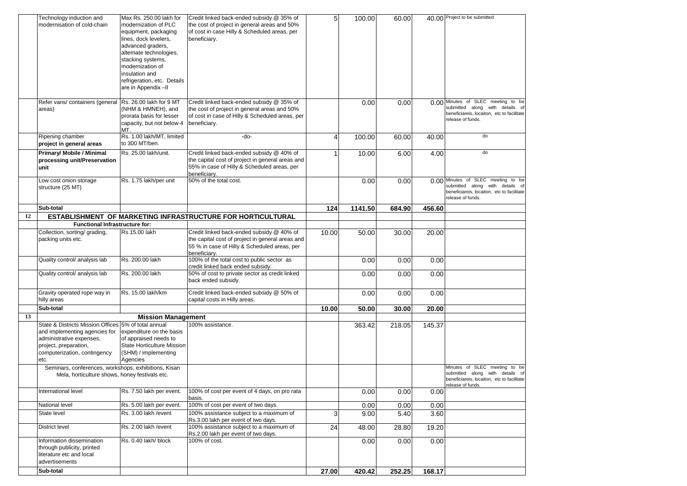|    | Technology induction and<br>modernisation of cold-chain                                                                                                                                                                                    | Max Rs. 250.00 lakh for<br>modernization of PLC<br>equipment, packaging<br>lines, dock levelers,<br>advanced graders,<br>alternate technologies,<br>stacking systems,<br>modernization of<br>insulation and<br>refrigeration, etc. Details<br>are in Appendix-II | Credit linked back-ended subsidy @ 35% of<br>the cost of project in general areas and 50%<br>of cost in case Hilly & Scheduled areas, per<br>beneficiary.     | 5 <sup>1</sup> | 100.00  | 60.00  |        | 40.00 Project to be submitted                                                                                                            |
|----|--------------------------------------------------------------------------------------------------------------------------------------------------------------------------------------------------------------------------------------------|------------------------------------------------------------------------------------------------------------------------------------------------------------------------------------------------------------------------------------------------------------------|---------------------------------------------------------------------------------------------------------------------------------------------------------------|----------------|---------|--------|--------|------------------------------------------------------------------------------------------------------------------------------------------|
|    | Refer vans/ containers (general<br>areas)                                                                                                                                                                                                  | Rs. 26.00 lakh for 9 MT<br>(NHM & HMNEH), and<br>prorata basis for lesser<br>capacity, but not below 4<br>MT.                                                                                                                                                    | Credit linked back-ended subsidy @ 35% of<br>the cost of project in general areas and 50%<br>of cost in case of Hilly & Scheduled areas, per<br>beneficiary.  |                | 0.00    | 0.00   |        | 0.00 Minutes of SLEC meeting to be<br>submitted along with details of<br>beneficiareis, locaiton, etc to facilitate<br>release of funds. |
|    | Ripening chamber<br>project in general areas                                                                                                                                                                                               | Rs. 1.00 lakh/MT, limited<br>to 300 MT/ben.                                                                                                                                                                                                                      | -do-                                                                                                                                                          | 4              | 100.00  | 60.00  | 40.00  | do                                                                                                                                       |
|    | Primary/ Mobile / Minimal<br>processing unit/Preservation<br>unit                                                                                                                                                                          | Rs. 25.00 lakh/unit.                                                                                                                                                                                                                                             | Credit linked back-ended subsidy @ 40% of<br>the capital cost of project in general areas and<br>55% in case of Hilly & Scheduled areas, per<br>beneficiarv.  |                | 10.00   | 6.00   | 4.00   | do                                                                                                                                       |
|    | Low cost onion storage<br>structure (25 MT)                                                                                                                                                                                                | Rs. 1.75 lakh/per unit                                                                                                                                                                                                                                           | 50% of the total cost.                                                                                                                                        |                | 0.00    | 0.00   |        | 0.00 Minutes of SLEC meeting to be<br>submitted along with details of<br>beneficiareis, locaiton, etc to facilitate<br>release of funds. |
|    | Sub-total                                                                                                                                                                                                                                  |                                                                                                                                                                                                                                                                  |                                                                                                                                                               | 124            | 1141.50 | 684.90 | 456.60 |                                                                                                                                          |
| 12 |                                                                                                                                                                                                                                            |                                                                                                                                                                                                                                                                  | ESTABLISHMENT OF MARKETING INFRASTRUCTURE FOR HORTICULTURAL                                                                                                   |                |         |        |        |                                                                                                                                          |
|    | <b>Functional Infrastructure for:</b>                                                                                                                                                                                                      |                                                                                                                                                                                                                                                                  |                                                                                                                                                               |                |         |        |        |                                                                                                                                          |
|    | Collection, sorting/ grading,<br>packing units etc.                                                                                                                                                                                        | Rs.15.00 lakh                                                                                                                                                                                                                                                    | Credit linked back-ended subsidy @ 40% of<br>the capital cost of project in general areas and<br>55 % in case of Hilly & Scheduled areas, per<br>beneficiary. | 10.00          | 50.00   | 30.00  | 20.00  |                                                                                                                                          |
|    | Quality control/ analysis lab                                                                                                                                                                                                              | Rs. 200.00 lakh                                                                                                                                                                                                                                                  | 100% of the total cost to public sector as<br>credit linked back ended subsidy.                                                                               |                | 0.00    | 0.00   | 0.00   |                                                                                                                                          |
|    | Quality control/ analysis lab                                                                                                                                                                                                              | Rs. 200.00 lakh                                                                                                                                                                                                                                                  | 50% of cost to private sector as credit linked<br>back ended subsidy.                                                                                         |                | 0.00    | 0.00   | 0.00   |                                                                                                                                          |
|    | Gravity operated rope way in<br>hilly areas                                                                                                                                                                                                | Rs. 15.00 lakh/km                                                                                                                                                                                                                                                | Credit linked back-ended subsidy @ 50% of<br>capital costs in Hilly areas.                                                                                    |                | 0.00    | 0.00   | 0.00   |                                                                                                                                          |
|    | Sub-total                                                                                                                                                                                                                                  |                                                                                                                                                                                                                                                                  |                                                                                                                                                               | 10.00          | 50.00   | 30.00  | 20.00  |                                                                                                                                          |
| 13 |                                                                                                                                                                                                                                            | <b>Mission Management</b>                                                                                                                                                                                                                                        |                                                                                                                                                               |                |         |        |        |                                                                                                                                          |
|    | State & Districts Mission Offices 5% of total annual<br>and implementing agencies for<br>administrative expenses,<br>project, preparation,<br>computerization, contingency<br>etc.<br>Seminars, conferences, workshops, exhibitions, Kisan | expenditure on the basis<br>of appraised needs to<br><b>State Horticulture Mission</b><br>(SHM) / implementing<br>Agencies                                                                                                                                       | 100% assistance.                                                                                                                                              |                | 363.42  | 218.05 | 145.37 | Minutes of SLEC meeting to be                                                                                                            |
|    | Mela, horticulture shows, honey festivals etc.                                                                                                                                                                                             |                                                                                                                                                                                                                                                                  |                                                                                                                                                               |                |         |        |        | submitted along with details of<br>beneficiareis, locaiton, etc to facilitate<br>release of funds.                                       |
|    | International level                                                                                                                                                                                                                        | Rs. 7.50 lakh per event.                                                                                                                                                                                                                                         | 100% of cost per event of 4 days, on pro rata<br>basis.                                                                                                       |                | 0.00    | 0.00   | 0.00   |                                                                                                                                          |
|    | National level                                                                                                                                                                                                                             | Rs. 5.00 lakh per event.                                                                                                                                                                                                                                         | 100% of cost per event of two days.                                                                                                                           |                | 0.00    | 0.00   | 0.00   |                                                                                                                                          |
|    | State level                                                                                                                                                                                                                                | Rs. 3.00 lakh /event                                                                                                                                                                                                                                             | 100% assistance subject to a maximum of<br>Rs.3.00 lakh per event of two days.                                                                                | $\overline{3}$ | 9.00    | 5.40   | 3.60   |                                                                                                                                          |
|    | District level                                                                                                                                                                                                                             | Rs. 2.00 lakh / event                                                                                                                                                                                                                                            | 100% assistance subject to a maximum of<br>Rs.2.00 lakh per event of two days.                                                                                | 24             | 48.00   | 28.80  | 19.20  |                                                                                                                                          |
|    | Information dissemination<br>through publicity, printed<br>literature etc and local<br>advertisements                                                                                                                                      | Rs. 0.40 lakh/ block                                                                                                                                                                                                                                             | 100% of cost.                                                                                                                                                 |                | 0.00    | 0.00   | 0.00   |                                                                                                                                          |
|    | Sub-total                                                                                                                                                                                                                                  |                                                                                                                                                                                                                                                                  |                                                                                                                                                               | 27.00          | 420.42  | 252.25 | 168.17 |                                                                                                                                          |